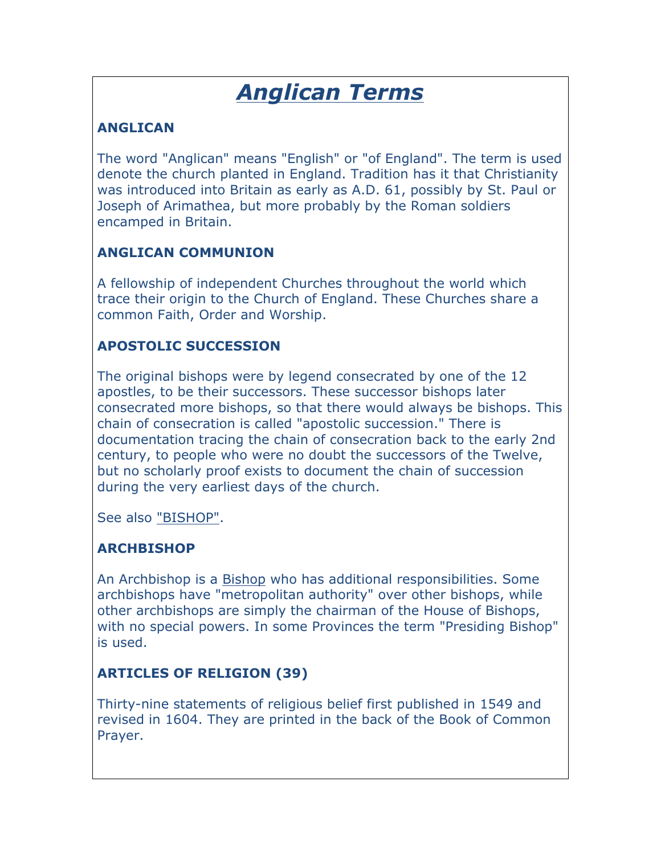# *Anglican Terms*

# **ANGLICAN**

The word "Anglican" means "English" or "of England". The term is used denote the church planted in England. Tradition has it that Christianity was introduced into Britain as early as A.D. 61, possibly by St. Paul or Joseph of Arimathea, but more probably by the Roman soldiers encamped in Britain.

## **ANGLICAN COMMUNION**

A fellowship of independent Churches throughout the world which trace their origin to the Church of England. These Churches share a common Faith, Order and Worship.

## **APOSTOLIC SUCCESSION**

The original bishops were by legend consecrated by one of the 12 apostles, to be their successors. These successor bishops later consecrated more bishops, so that there would always be bishops. This chain of consecration is called "apostolic succession." There is documentation tracing the chain of consecration back to the early 2nd century, to people who were no doubt the successors of the Twelve, but no scholarly proof exists to document the chain of succession during the very earliest days of the church.

See also "BISHOP".

# **ARCHBISHOP**

An Archbishop is a Bishop who has additional responsibilities. Some archbishops have "metropolitan authority" over other bishops, while other archbishops are simply the chairman of the House of Bishops, with no special powers. In some Provinces the term "Presiding Bishop" is used.

# **ARTICLES OF RELIGION (39)**

Thirty-nine statements of religious belief first published in 1549 and revised in 1604. They are printed in the back of the Book of Common Prayer.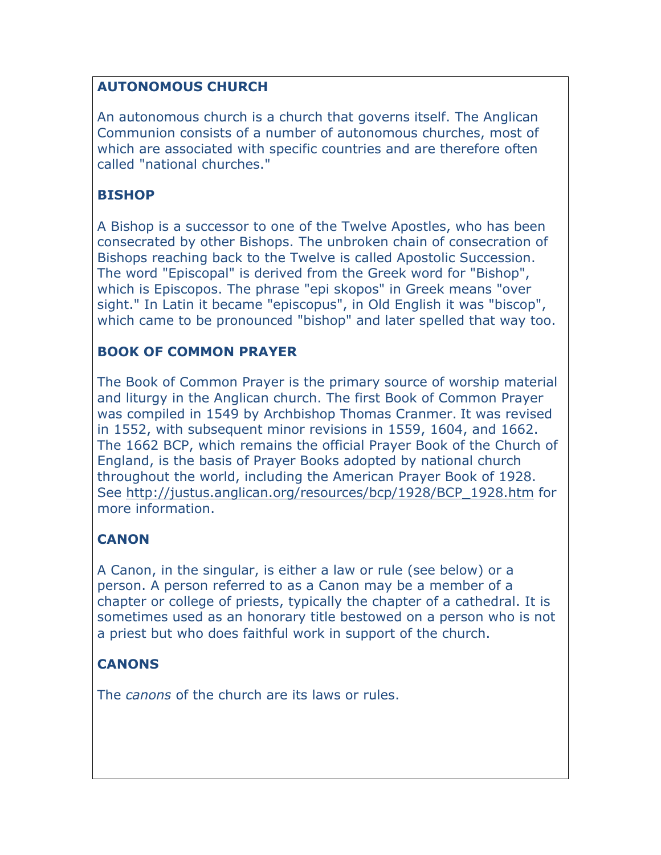## **AUTONOMOUS CHURCH**

An autonomous church is a church that governs itself. The Anglican Communion consists of a number of autonomous churches, most of which are associated with specific countries and are therefore often called "national churches."

## **BISHOP**

A Bishop is a successor to one of the Twelve Apostles, who has been consecrated by other Bishops. The unbroken chain of consecration of Bishops reaching back to the Twelve is called Apostolic Succession. The word "Episcopal" is derived from the Greek word for "Bishop", which is Episcopos. The phrase "epi skopos" in Greek means "over sight." In Latin it became "episcopus", in Old English it was "biscop", which came to be pronounced "bishop" and later spelled that way too.

## **BOOK OF COMMON PRAYER**

The Book of Common Prayer is the primary source of worship material and liturgy in the Anglican church. The first Book of Common Prayer was compiled in 1549 by Archbishop Thomas Cranmer. It was revised in 1552, with subsequent minor revisions in 1559, 1604, and 1662. The 1662 BCP, which remains the official Prayer Book of the Church of England, is the basis of Prayer Books adopted by national church throughout the world, including the American Prayer Book of 1928. See http://justus.anglican.org/resources/bcp/1928/BCP\_1928.htm for more information.

# **CANON**

A Canon, in the singular, is either a law or rule (see below) or a person. A person referred to as a Canon may be a member of a chapter or college of priests, typically the chapter of a cathedral. It is sometimes used as an honorary title bestowed on a person who is not a priest but who does faithful work in support of the church.

# **CANONS**

The *canons* of the church are its laws or rules.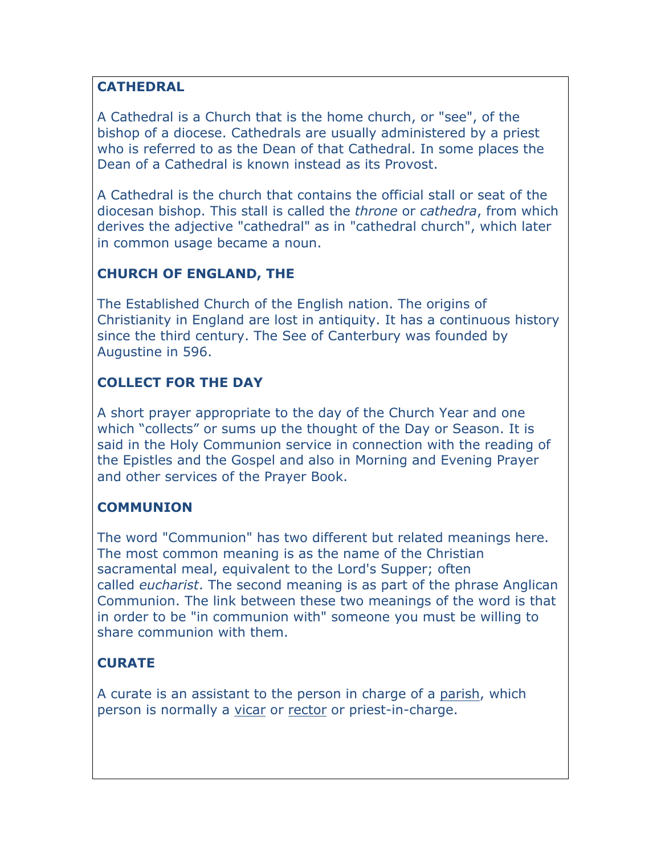#### **CATHEDRAL**

A Cathedral is a Church that is the home church, or "see", of the bishop of a diocese. Cathedrals are usually administered by a priest who is referred to as the Dean of that Cathedral. In some places the Dean of a Cathedral is known instead as its Provost.

A Cathedral is the church that contains the official stall or seat of the diocesan bishop. This stall is called the *throne* or *cathedra*, from which derives the adjective "cathedral" as in "cathedral church", which later in common usage became a noun.

## **CHURCH OF ENGLAND, THE**

The Established Church of the English nation. The origins of Christianity in England are lost in antiquity. It has a continuous history since the third century. The See of Canterbury was founded by Augustine in 596.

## **COLLECT FOR THE DAY**

A short prayer appropriate to the day of the Church Year and one which "collects" or sums up the thought of the Day or Season. It is said in the Holy Communion service in connection with the reading of the Epistles and the Gospel and also in Morning and Evening Prayer and other services of the Prayer Book.

## **COMMUNION**

The word "Communion" has two different but related meanings here. The most common meaning is as the name of the Christian sacramental meal, equivalent to the Lord's Supper; often called *eucharist*. The second meaning is as part of the phrase Anglican Communion. The link between these two meanings of the word is that in order to be "in communion with" someone you must be willing to share communion with them.

# **CURATE**

A curate is an assistant to the person in charge of a parish, which person is normally a vicar or rector or priest-in-charge.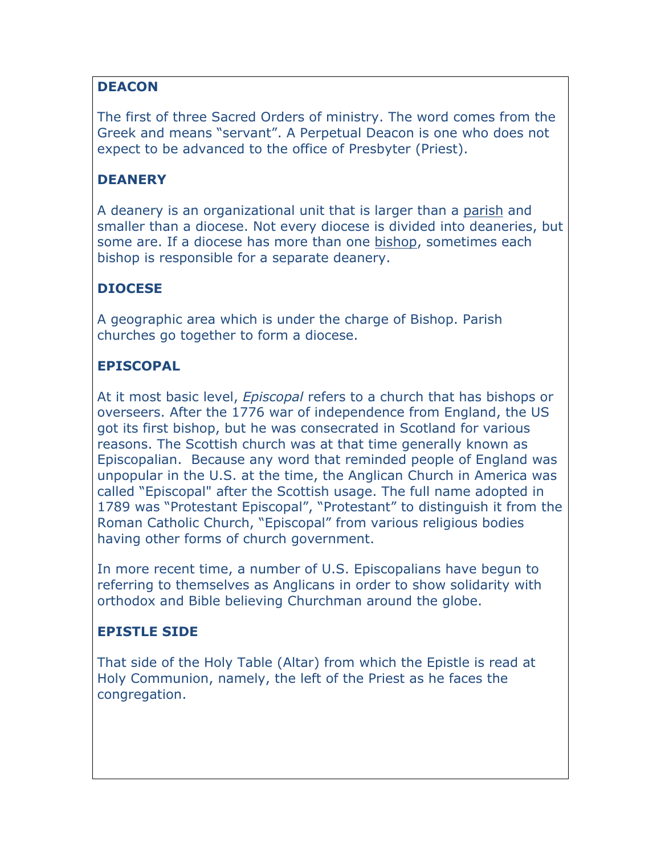## **DEACON**

The first of three Sacred Orders of ministry. The word comes from the Greek and means "servant". A Perpetual Deacon is one who does not expect to be advanced to the office of Presbyter (Priest).

## **DEANERY**

A deanery is an organizational unit that is larger than a parish and smaller than a diocese. Not every diocese is divided into deaneries, but some are. If a diocese has more than one bishop, sometimes each bishop is responsible for a separate deanery.

## **DIOCESE**

A geographic area which is under the charge of Bishop. Parish churches go together to form a diocese.

## **EPISCOPAL**

At it most basic level, *Episcopal* refers to a church that has bishops or overseers. After the 1776 war of independence from England, the US got its first bishop, but he was consecrated in Scotland for various reasons. The Scottish church was at that time generally known as Episcopalian. Because any word that reminded people of England was unpopular in the U.S. at the time, the Anglican Church in America was called "Episcopal" after the Scottish usage. The full name adopted in 1789 was "Protestant Episcopal", "Protestant" to distinguish it from the Roman Catholic Church, "Episcopal" from various religious bodies having other forms of church government.

In more recent time, a number of U.S. Episcopalians have begun to referring to themselves as Anglicans in order to show solidarity with orthodox and Bible believing Churchman around the globe.

#### **EPISTLE SIDE**

That side of the Holy Table (Altar) from which the Epistle is read at Holy Communion, namely, the left of the Priest as he faces the congregation.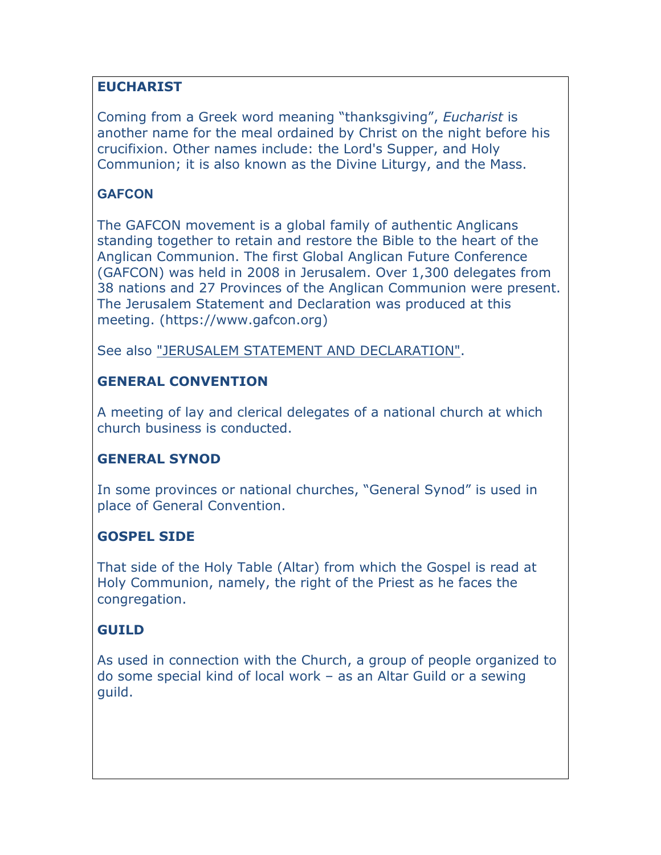## **EUCHARIST**

Coming from a Greek word meaning "thanksgiving", *Eucharist* is another name for the meal ordained by Christ on the night before his crucifixion. Other names include: the Lord's Supper, and Holy Communion; it is also known as the Divine Liturgy, and the Mass.

#### **GAFCON**

The GAFCON movement is a global family of authentic Anglicans standing together to retain and restore the Bible to the heart of the Anglican Communion. The first Global Anglican Future Conference (GAFCON) was held in 2008 in Jerusalem. Over 1,300 delegates from 38 nations and 27 Provinces of the Anglican Communion were present. The Jerusalem Statement and Declaration was produced at this meeting. (https://www.gafcon.org)

See also "JERUSALEM STATEMENT AND DECLARATION".

## **GENERAL CONVENTION**

A meeting of lay and clerical delegates of a national church at which church business is conducted.

# **GENERAL SYNOD**

In some provinces or national churches, "General Synod" is used in place of General Convention.

## **GOSPEL SIDE**

That side of the Holy Table (Altar) from which the Gospel is read at Holy Communion, namely, the right of the Priest as he faces the congregation.

## **GUILD**

As used in connection with the Church, a group of people organized to do some special kind of local work – as an Altar Guild or a sewing guild.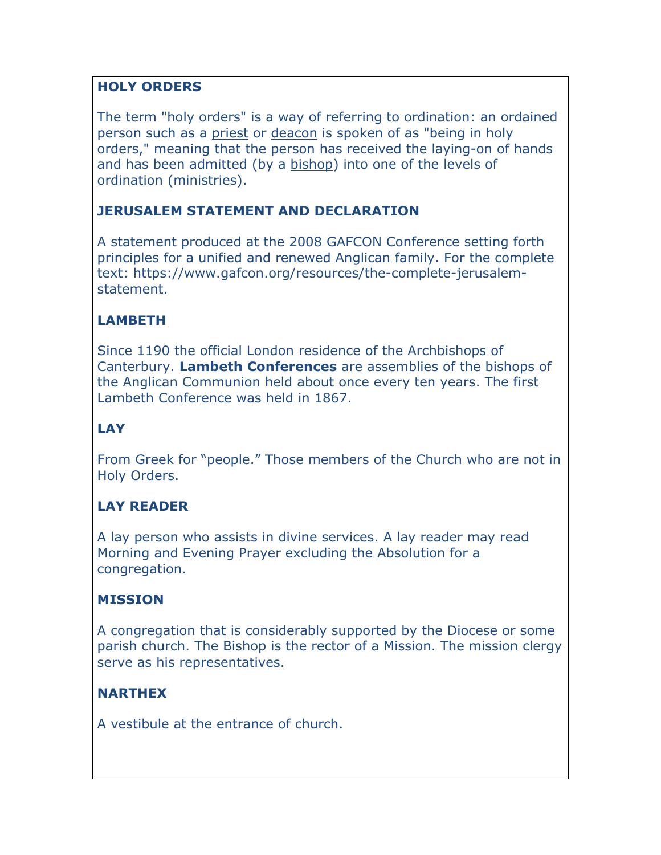## **HOLY ORDERS**

The term "holy orders" is a way of referring to ordination: an ordained person such as a priest or deacon is spoken of as "being in holy orders," meaning that the person has received the laying-on of hands and has been admitted (by a bishop) into one of the levels of ordination (ministries).

## **JERUSALEM STATEMENT AND DECLARATION**

A statement produced at the 2008 GAFCON Conference setting forth principles for a unified and renewed Anglican family. For the complete text: https://www.gafcon.org/resources/the-complete-jerusalemstatement.

# **LAMBETH**

Since 1190 the official London residence of the Archbishops of Canterbury. **Lambeth Conferences** are assemblies of the bishops of the Anglican Communion held about once every ten years. The first Lambeth Conference was held in 1867.

# **LAY**

From Greek for "people." Those members of the Church who are not in Holy Orders.

# **LAY READER**

A lay person who assists in divine services. A lay reader may read Morning and Evening Prayer excluding the Absolution for a congregation.

## **MISSION**

A congregation that is considerably supported by the Diocese or some parish church. The Bishop is the rector of a Mission. The mission clergy serve as his representatives.

## **NARTHEX**

A vestibule at the entrance of church.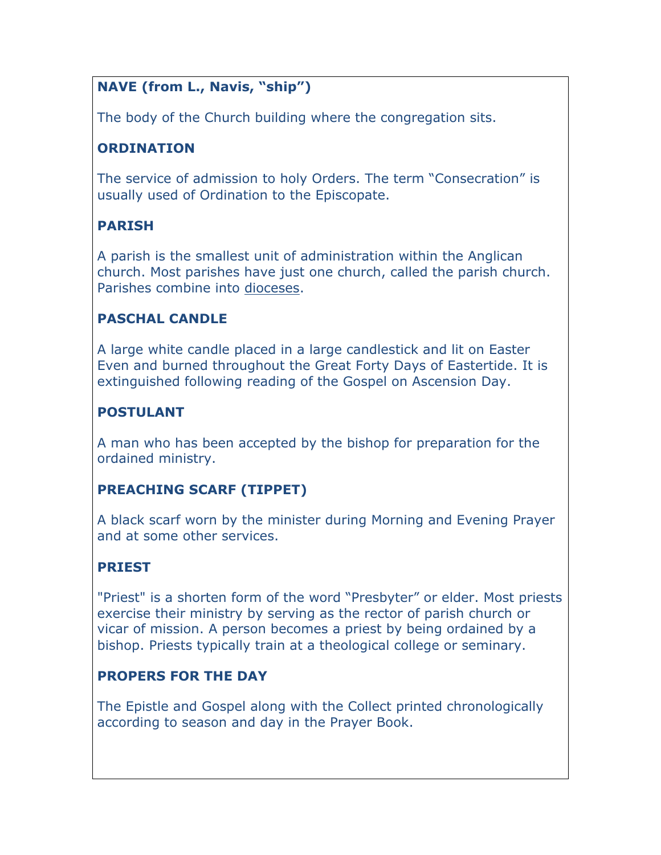# **NAVE (from L., Navis, "ship")**

The body of the Church building where the congregation sits.

## **ORDINATION**

The service of admission to holy Orders. The term "Consecration" is usually used of Ordination to the Episcopate.

# **PARISH**

A parish is the smallest unit of administration within the Anglican church. Most parishes have just one church, called the parish church. Parishes combine into dioceses.

## **PASCHAL CANDLE**

A large white candle placed in a large candlestick and lit on Easter Even and burned throughout the Great Forty Days of Eastertide. It is extinguished following reading of the Gospel on Ascension Day.

## **POSTULANT**

A man who has been accepted by the bishop for preparation for the ordained ministry.

# **PREACHING SCARF (TIPPET)**

A black scarf worn by the minister during Morning and Evening Prayer and at some other services.

# **PRIEST**

"Priest" is a shorten form of the word "Presbyter" or elder. Most priests exercise their ministry by serving as the rector of parish church or vicar of mission. A person becomes a priest by being ordained by a bishop. Priests typically train at a theological college or seminary.

# **PROPERS FOR THE DAY**

The Epistle and Gospel along with the Collect printed chronologically according to season and day in the Prayer Book.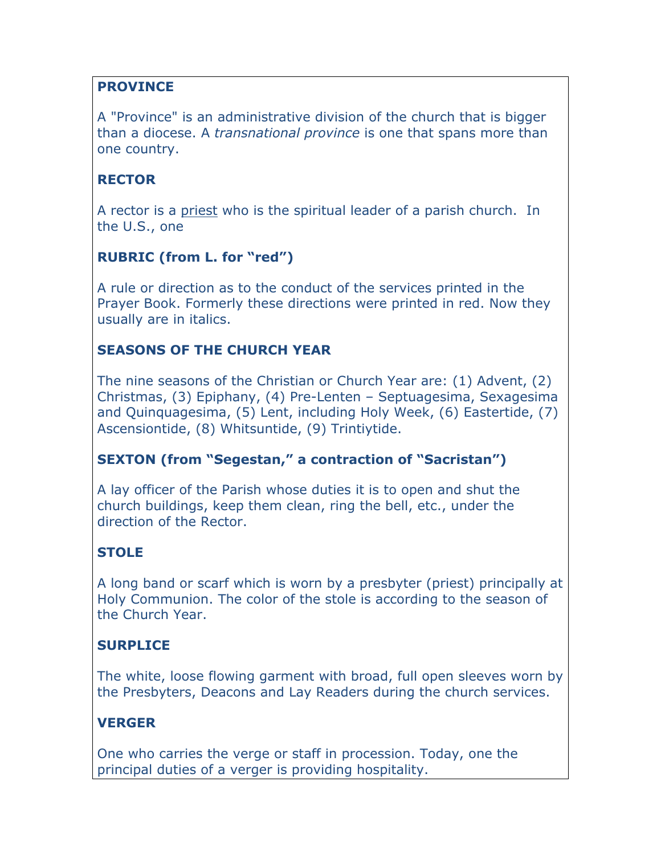## **PROVINCE**

A "Province" is an administrative division of the church that is bigger than a diocese. A *transnational province* is one that spans more than one country.

## **RECTOR**

A rector is a priest who is the spiritual leader of a parish church. In the U.S., one

## **RUBRIC (from L. for "red")**

A rule or direction as to the conduct of the services printed in the Prayer Book. Formerly these directions were printed in red. Now they usually are in italics.

## **SEASONS OF THE CHURCH YEAR**

The nine seasons of the Christian or Church Year are: (1) Advent, (2) Christmas, (3) Epiphany, (4) Pre-Lenten – Septuagesima, Sexagesima and Quinquagesima, (5) Lent, including Holy Week, (6) Eastertide, (7) Ascensiontide, (8) Whitsuntide, (9) Trintiytide.

## **SEXTON (from "Segestan," a contraction of "Sacristan")**

A lay officer of the Parish whose duties it is to open and shut the church buildings, keep them clean, ring the bell, etc., under the direction of the Rector.

## **STOLE**

A long band or scarf which is worn by a presbyter (priest) principally at Holy Communion. The color of the stole is according to the season of the Church Year.

## **SURPLICE**

The white, loose flowing garment with broad, full open sleeves worn by the Presbyters, Deacons and Lay Readers during the church services.

## **VERGER**

One who carries the verge or staff in procession. Today, one the principal duties of a verger is providing hospitality.